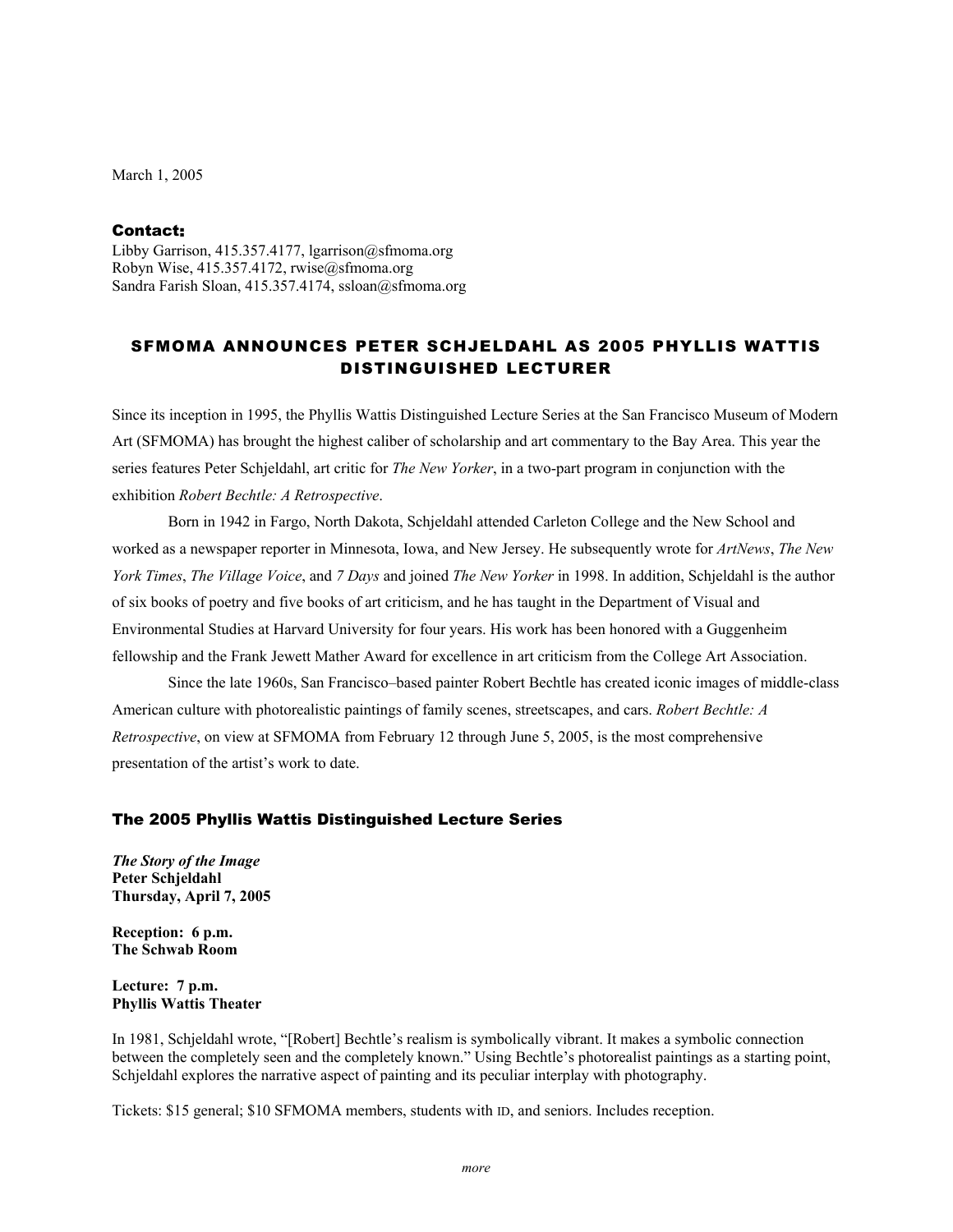March 1, 2005

# Contact:

Libby Garrison, 415.357.4177, lgarrison@sfmoma.org Robyn Wise, 415.357.4172, rwise@sfmoma.org Sandra Farish Sloan, 415.357.4174, ssloan@sfmoma.org

# SFMOMA ANNOUNCES PETER SCHJELDAHL AS 2005 PHYLLIS WATTIS DISTINGUISHED LECTURER

Since its inception in 1995, the Phyllis Wattis Distinguished Lecture Series at the San Francisco Museum of Modern Art (SFMOMA) has brought the highest caliber of scholarship and art commentary to the Bay Area. This year the series features Peter Schjeldahl, art critic for *The New Yorker*, in a two-part program in conjunction with the exhibition *Robert Bechtle: A Retrospective*.

Born in 1942 in Fargo, North Dakota, Schjeldahl attended Carleton College and the New School and worked as a newspaper reporter in Minnesota, Iowa, and New Jersey. He subsequently wrote for *ArtNews*, *The New York Times*, *The Village Voice*, and *7 Days* and joined *The New Yorker* in 1998. In addition, Schjeldahl is the author of six books of poetry and five books of art criticism, and he has taught in the Department of Visual and Environmental Studies at Harvard University for four years. His work has been honored with a Guggenheim fellowship and the Frank Jewett Mather Award for excellence in art criticism from the College Art Association.

Since the late 1960s, San Francisco–based painter Robert Bechtle has created iconic images of middle-class American culture with photorealistic paintings of family scenes, streetscapes, and cars. *Robert Bechtle: A Retrospective*, on view at SFMOMA from February 12 through June 5, 2005, is the most comprehensive presentation of the artist's work to date.

### The 2005 Phyllis Wattis Distinguished Lecture Series

*The Story of the Image*  **Peter Schjeldahl Thursday, April 7, 2005** 

**Reception: 6 p.m. The Schwab Room** 

**Lecture: 7 p.m. Phyllis Wattis Theater** 

In 1981, Schjeldahl wrote, "[Robert] Bechtle's realism is symbolically vibrant. It makes a symbolic connection between the completely seen and the completely known." Using Bechtle's photorealist paintings as a starting point, Schjeldahl explores the narrative aspect of painting and its peculiar interplay with photography.

Tickets: \$15 general; \$10 SFMOMA members, students with ID, and seniors. Includes reception.